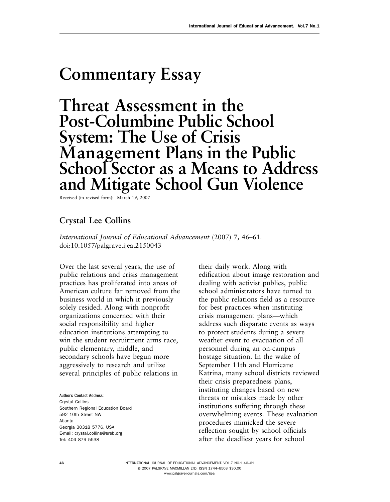## **Commentary Essay**

**Threat Assessment in the Post-Columbine Public School System: The Use of Crisis Management Plans in the Public School Sector as a Means to Address and Mitigate School Gun Violence** 

Received (in revised form): March 19, 2007

## **Crystal Lee Collins**

*International Journal of Educational Advancement* (2007) 7, 46–61. doi: 10.1057/palgrave.ijea.2150043

Over the last several years, the use of public relations and crisis management practices has proliferated into areas of American culture far removed from the business world in which it previously solely resided. Along with nonprofit organizations concerned with their social responsibility and higher education institutions attempting to win the student recruitment arms race, public elementary, middle, and secondary schools have begun more aggressively to research and utilize several principles of public relations in

Author's Contact Address: Crystal Collins Southern Regional Education Board 592 10th Street NW Atlanta Georgia 30318 5776, USA E-mail: crystal.collins@sreb.org Tel: 404 879 5538

their daily work. Along with edification about image restoration and dealing with activist publics, public school administrators have turned to the public relations field as a resource for best practices when instituting crisis management plans — which address such disparate events as ways to protect students during a severe weather event to evacuation of all personnel during an on-campus hostage situation. In the wake of September 11th and Hurricane Katrina, many school districts reviewed their crisis preparedness plans, instituting changes based on new threats or mistakes made by other institutions suffering through these overwhelming events. These evaluation procedures mimicked the severe reflection sought by school officials after the deadliest years for school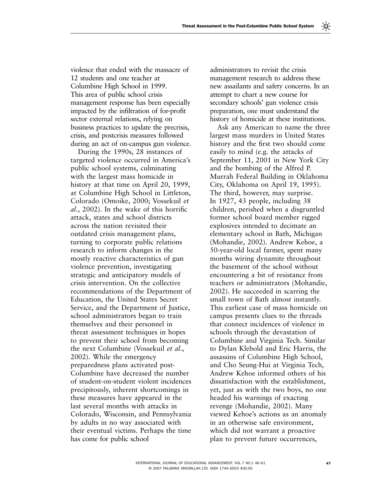violence that ended with the massacre of 12 students and one teacher at Columbine High School in 1999. This area of public school crisis management response has been especially impacted by the infiltration of for-profit sector external relations, relying on business practices to update the precrisis, crisis, and postcrisis measures followed during an act of on-campus gun violence.

During the 1990s, 28 instances of targeted violence occurred in America's public school systems, culminating with the largest mass homicide in history at that time on April 20, 1999, at Columbine High School in Littleton, Colorado ( Omoike, 2000 ; Vossekuil *et al.*, 2002). In the wake of this horrific attack, states and school districts across the nation revisited their outdated crisis management plans, turning to corporate public relations research to inform changes in the mostly reactive characteristics of gun violence prevention, investigating strategic and anticipatory models of crisis intervention. On the collective recommendations of the Department of Education, the United States Secret Service, and the Department of Justice, school administrators began to train themselves and their personnel in threat assessment techniques in hopes to prevent their school from becoming the next Columbine ( Vossekuil *et al*., 2002). While the emergency preparedness plans activated post-Columbine have decreased the number of student-on-student violent incidences precipitously, inherent shortcomings in these measures have appeared in the last several months with attacks in Colorado, Wisconsin, and Pennsylvania by adults in no way associated with their eventual victims. Perhaps the time has come for public school

administrators to revisit the crisis management research to address these new assailants and safety concerns. In an attempt to chart a new course for secondary schools' gun violence crisis preparation, one must understand the history of homicide at these institutions.

Ask any American to name the three largest mass murders in United States history and the first two should come easily to mind (e.g. the attacks of September 11, 2001 in New York City and the bombing of the Alfred P. Murrah Federal Building in Oklahoma City, Oklahoma on April 19, 1995). The third, however, may surprise. In 1927, 43 people, including 38 children, perished when a disgruntled former school board member rigged explosives intended to decimate an elementary school in Bath, Michigan (Mohandie, 2002). Andrew Kehoe, a 50-year-old local farmer, spent many months wiring dynamite throughout the basement of the school without encountering a bit of resistance from teachers or administrators ( Mohandie, 2002). He succeeded in scarring the small town of Bath almost instantly. This earliest case of mass homicide on campus presents clues to the threads that connect incidences of violence in schools through the devastation of Columbine and Virginia Tech. Similar to Dylan Klebold and Eric Harris, the assassins of Columbine High School, and Cho Seung-Hui at Virginia Tech, Andrew Kehoe informed others of his dissatisfaction with the establishment, yet, just as with the two boys, no one headed his warnings of exacting revenge (Mohandie, 2002). Many viewed Kehoe's actions as an anomaly in an otherwise safe environment, which did not warrant a proactive plan to prevent future occurrences,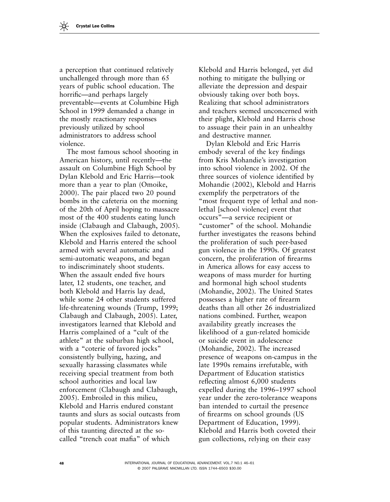a perception that continued relatively unchallenged through more than 65 years of public school education. The horrific—and perhaps largely preventable — events at Columbine High School in 1999 demanded a change in the mostly reactionary responses previously utilized by school administrators to address school violence.

The most famous school shooting in American history, until recently—the assault on Columbine High School by Dylan Klebold and Eric Harris-took more than a year to plan (Omoike, 2000). The pair placed two 20 pound bombs in the cafeteria on the morning of the 20th of April hoping to massacre most of the 400 students eating lunch inside (Clabaugh and Clabaugh, 2005). When the explosives failed to detonate, Klebold and Harris entered the school armed with several automatic and semi-automatic weapons, and began to indiscriminately shoot students. When the assault ended five hours later, 12 students, one teacher, and both Klebold and Harris lay dead, while some 24 other students suffered life-threatening wounds (Trump, 1999; Clabaugh and Clabaugh, 2005). Later, investigators learned that Klebold and Harris complained of a "cult of the athlete" at the suburban high school, with a "coterie of favored jocks" consistently bullying, hazing, and sexually harassing classmates while receiving special treatment from both school authorities and local law enforcement (Clabaugh and Clabaugh, 2005 ). Embroiled in this milieu, Klebold and Harris endured constant taunts and slurs as social outcasts from popular students. Administrators knew of this taunting directed at the socalled "trench coat mafia" of which

Klebold and Harris belonged, yet did nothing to mitigate the bullying or alleviate the depression and despair obviously taking over both boys. Realizing that school administrators and teachers seemed unconcerned with their plight, Klebold and Harris chose to assuage their pain in an unhealthy and destructive manner.

Dylan Klebold and Eric Harris embody several of the key findings from Kris Mohandie's investigation into school violence in 2002. Of the three sources of violence identified by Mohandie (2002), Klebold and Harris exemplify the perpetrators of the " most frequent type of lethal and nonlethal [school violence] event that occurs"-a service recipient or " customer" of the school. Mohandie further investigates the reasons behind the proliferation of such peer-based gun violence in the 1990s. Of greatest concern, the proliferation of firearms in America allows for easy access to weapons of mass murder for hurting and hormonal high school students (Mohandie, 2002). The United States possesses a higher rate of firearm deaths than all other 26 industrialized nations combined. Further, weapon availability greatly increases the likelihood of a gun-related homicide or suicide event in adolescence (Mohandie, 2002). The increased presence of weapons on-campus in the late 1990s remains irrefutable, with Department of Education statistics reflecting almost 6,000 students expelled during the 1996–1997 school year under the zero-tolerance weapons ban intended to curtail the presence of firearms on school grounds (US Department of Education, 1999). Klebold and Harris both coveted their gun collections, relying on their easy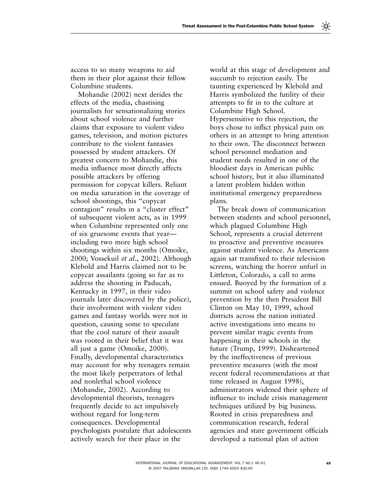access to so many weapons to aid them in their plot against their fellow Columbine students.

Mohandie (2002) next derides the effects of the media, chastising journalists for sensationalizing stories about school violence and further claims that exposure to violent video games, television, and motion pictures contribute to the violent fantasies possessed by student attackers. Of greatest concern to Mohandie, this media influence most directly affects possible attackers by offering permission for copycat killers. Reliant on media saturation in the coverage of school shootings, this "copycat contagion" results in a " cluster effect" of subsequent violent acts, as in 1999 when Columbine represented only one of six gruesome events that year including two more high school shootings within six months (Omoike, 2000; Vossekuil et al., 2002). Although Klebold and Harris claimed not to be copycat assailants (going so far as to address the shooting in Paducah, Kentucky in 1997, in their video journals later discovered by the police), their involvement with violent video games and fantasy worlds were not in question, causing some to speculate that the cool nature of their assault was rooted in their belief that it was all just a game (Omoike, 2000). Finally, developmental characteristics may account for why teenagers remain the most likely perpetrators of lethal and nonlethal school violence (Mohandie, 2002). According to developmental theorists, teenagers frequently decide to act impulsively without regard for long-term consequences. Developmental psychologists postulate that adolescents actively search for their place in the

world at this stage of development and succumb to rejection easily. The taunting experienced by Klebold and Harris symbolized the futility of their attempts to fit in to the culture at Columbine High School. Hypersensitive to this rejection, the boys chose to inflict physical pain on others in an attempt to bring attention to their own. The disconnect between school personnel mediation and student needs resulted in one of the bloodiest days in American public school history, but it also illuminated a latent problem hidden within institutional emergency preparedness plans.

The break down of communication between students and school personnel, which plagued Columbine High School, represents a crucial deterrent to proactive and preventive measures against student violence. As Americans again sat transfixed to their television screens, watching the horror unfurl in Littleton, Colorado, a call to arms ensued. Buoyed by the formation of a summit on school safety and violence prevention by the then President Bill Clinton on May 10, 1999, school districts across the nation initiated active investigations into means to prevent similar tragic events from happening in their schools in the future (Trump, 1999). Disheartened by the ineffectiveness of previous preventive measures (with the most recent federal recommendations at that time released in August 1998), administrators widened their sphere of influence to include crisis management techniques utilized by big business. Rooted in crisis preparedness and communication research, federal agencies and state government officials developed a national plan of action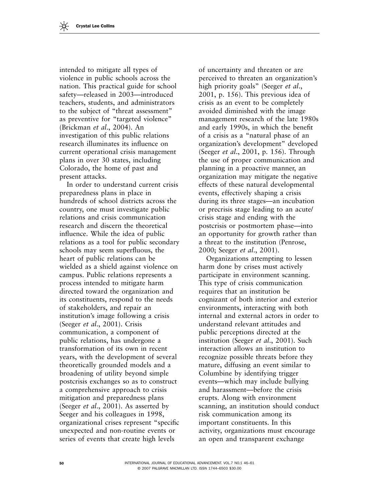intended to mitigate all types of violence in public schools across the nation. This practical guide for school safety—released in 2003—introduced teachers, students, and administrators to the subject of "threat assessment" as preventive for "targeted violence" ( Brickman *et al*., 2004 ). An investigation of this public relations research illuminates its influence on current operational crisis management plans in over 30 states, including Colorado, the home of past and present attacks.

In order to understand current crisis preparedness plans in place in hundreds of school districts across the country, one must investigate public relations and crisis communication research and discern the theoretical influence. While the idea of public relations as a tool for public secondary schools may seem superfluous, the heart of public relations can be wielded as a shield against violence on campus. Public relations represents a process intended to mitigate harm directed toward the organization and its constituents, respond to the needs of stakeholders, and repair an institution's image following a crisis ( Seeger *et al*., 2001 ). Crisis communication, a component of public relations, has undergone a transformation of its own in recent years, with the development of several theoretically grounded models and a broadening of utility beyond simple postcrisis exchanges so as to construct a comprehensive approach to crisis mitigation and preparedness plans (Seeger *et al.*, 2001). As asserted by Seeger and his colleagues in 1998, organizational crises represent "specific unexpected and non-routine events or series of events that create high levels

of uncertainty and threaten or are perceived to threaten an organization's high priority goals" (Seeger *et al.*, 2001, p. 156). This previous idea of crisis as an event to be completely avoided diminished with the image management research of the late 1980s and early 1990s, in which the benefit of a crisis as a " natural phase of an organization's development" developed (Seeger *et al.*, 2001, p. 156). Through the use of proper communication and planning in a proactive manner, an organization may mitigate the negative effects of these natural developmental events, effectively shaping a crisis during its three stages—an incubation or precrisis stage leading to an acute/ crisis stage and ending with the postcrisis or postmortem phase — into an opportunity for growth rather than a threat to the institution (Penrose, 2000; Seeger *et al.*, 2001).

Organizations attempting to lessen harm done by crises must actively participate in environment scanning. This type of crisis communication requires that an institution be cognizant of both interior and exterior environments, interacting with both internal and external actors in order to understand relevant attitudes and public perceptions directed at the institution (Seeger *et al.*, 2001). Such interaction allows an institution to recognize possible threats before they mature, diffusing an event similar to Columbine by identifying trigger events—which may include bullying and harassment—before the crisis erupts. Along with environment scanning, an institution should conduct risk communication among its important constituents. In this activity, organizations must encourage an open and transparent exchange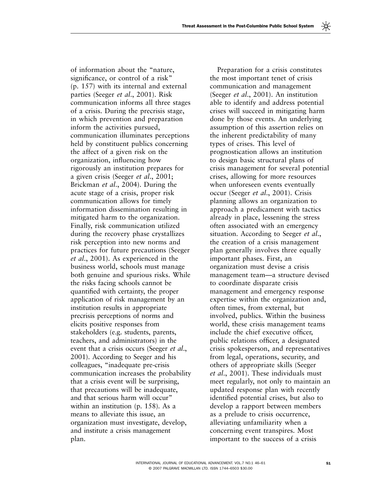of information about the " nature, significance, or control of a risk" (p. 157) with its internal and external parties (Seeger *et al.*, 2001). Risk communication informs all three stages of a crisis. During the precrisis stage, in which prevention and preparation inform the activities pursued, communication illuminates perceptions held by constituent publics concerning the affect of a given risk on the organization, influencing how rigorously an institution prepares for a given crisis (Seeger *et al.*, 2001; Brickman *et al.*, 2004). During the acute stage of a crisis, proper risk communication allows for timely information dissemination resulting in mitigated harm to the organization. Finally, risk communication utilized during the recovery phase crystallizes risk perception into new norms and practices for future precautions ( Seeger *et al.*, 2001). As experienced in the business world, schools must manage both genuine and spurious risks. While the risks facing schools cannot be quantified with certainty, the proper application of risk management by an institution results in appropriate precrisis perceptions of norms and elicits positive responses from stakeholders (e.g. students, parents, teachers, and administrators) in the event that a crisis occurs (Seeger *et al.*, 2001). According to Seeger and his colleagues, " inadequate pre-crisis communication increases the probability that a crisis event will be surprising, that precautions will be inadequate, and that serious harm will occur" within an institution (p. 158). As a means to alleviate this issue, an organization must investigate, develop,

and institute a crisis management

plan.

Preparation for a crisis constitutes the most important tenet of crisis communication and management (Seeger *et al.*, 2001). An institution able to identify and address potential crises will succeed in mitigating harm done by those events. An underlying assumption of this assertion relies on the inherent predictability of many types of crises. This level of prognostication allows an institution to design basic structural plans of crisis management for several potential crises, allowing for more resources when unforeseen events eventually occur ( Seeger *et al*., 2001 ). Crisis planning allows an organization to approach a predicament with tactics already in place, lessening the stress often associated with an emergency situation. According to Seeger *et al*., the creation of a crisis management plan generally involves three equally important phases. First, an organization must devise a crisis management team—a structure devised to coordinate disparate crisis management and emergency response expertise within the organization and, often times, from external, but involved, publics. Within the business world, these crisis management teams include the chief executive officer, public relations officer, a designated crisis spokesperson, and representatives from legal, operations, security, and others of appropriate skills ( Seeger *et al.*, 2001). These individuals must meet regularly, not only to maintain an updated response plan with recently identified potential crises, but also to develop a rapport between members as a prelude to crisis occurrence, alleviating unfamiliarity when a concerning event transpires. Most important to the success of a crisis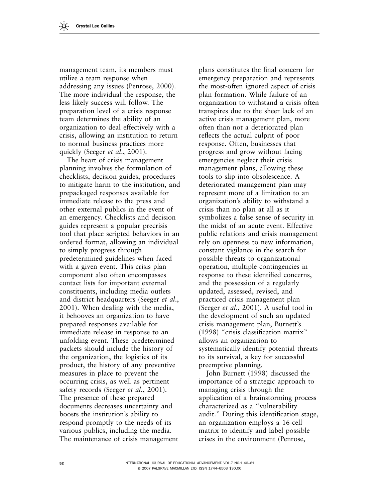management team, its members must utilize a team response when addressing any issues (Penrose, 2000). The more individual the response, the less likely success will follow. The preparation level of a crisis response team determines the ability of an organization to deal effectively with a crisis, allowing an institution to return to normal business practices more quickly (Seeger *et al.*, 2001).

The heart of crisis management planning involves the formulation of checklists, decision guides, procedures to mitigate harm to the institution, and prepackaged responses available for immediate release to the press and other external publics in the event of an emergency. Checklists and decision guides represent a popular precrisis tool that place scripted behaviors in an ordered format, allowing an individual to simply progress through predetermined guidelines when faced with a given event. This crisis plan component also often encompasses contact lists for important external constituents, including media outlets and district headquarters ( Seeger *et al*., 2001). When dealing with the media, it behooves an organization to have prepared responses available for immediate release in response to an unfolding event. These predetermined packets should include the history of the organization, the logistics of its product, the history of any preventive measures in place to prevent the occurring crisis, as well as pertinent safety records (Seeger *et al.*, 2001). The presence of these prepared documents decreases uncertainty and boosts the institution's ability to respond promptly to the needs of its various publics, including the media. The maintenance of crisis management

plans constitutes the final concern for emergency preparation and represents the most-often ignored aspect of crisis plan formation. While failure of an organization to withstand a crisis often transpires due to the sheer lack of an active crisis management plan, more often than not a deteriorated plan reflects the actual culprit of poor response. Often, businesses that progress and grow without facing emergencies neglect their crisis management plans, allowing these tools to slip into obsolescence. A deteriorated management plan may represent more of a limitation to an organization's ability to withstand a crisis than no plan at all as it symbolizes a false sense of security in the midst of an acute event. Effective public relations and crisis management rely on openness to new information, constant vigilance in the search for possible threats to organizational operation, multiple contingencies in response to these identified concerns, and the possession of a regularly updated, assessed, revised, and practiced crisis management plan (Seeger *et al.*, 2001). A useful tool in the development of such an updated crisis management plan, Burnett's  $(1998)$  "crisis classification matrix" allows an organization to systematically identify potential threats to its survival, a key for successful preemptive planning.

John Burnett (1998) discussed the importance of a strategic approach to managing crisis through the application of a brainstorming process characterized as a " vulnerability audit." During this identification stage, an organization employs a 16-cell matrix to identify and label possible crises in the environment (Penrose,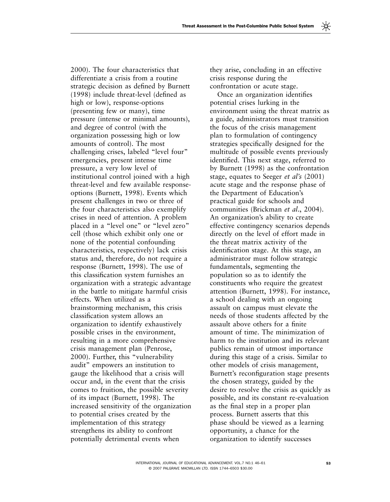2000). The four characteristics that differentiate a crisis from a routine strategic decision as defined by Burnett  $(1998)$  include threat-level (defined as high or low), response-options (presenting few or many), time pressure (intense or minimal amounts), and degree of control (with the organization possessing high or low amounts of control). The most challenging crises, labeled "level four" emergencies, present intense time pressure, a very low level of institutional control joined with a high threat-level and few available responseoptions (Burnett, 1998). Events which present challenges in two or three of the four characteristics also exemplify crises in need of attention. A problem placed in a "level one" or "level zero" cell (those which exhibit only one or none of the potential confounding characteristics, respectively) lack crisis status and, therefore, do not require a response (Burnett, 1998). The use of this classification system furnishes an organization with a strategic advantage in the battle to mitigate harmful crisis effects. When utilized as a brainstorming mechanism, this crisis classification system allows an organization to identify exhaustively possible crises in the environment, resulting in a more comprehensive crisis management plan (Penrose, 2000). Further, this "vulnerability audit" empowers an institution to gauge the likelihood that a crisis will occur and, in the event that the crisis comes to fruition, the possible severity of its impact (Burnett, 1998). The increased sensitivity of the organization to potential crises created by the implementation of this strategy strengthens its ability to confront potentially detrimental events when

they arise, concluding in an effective crisis response during the confrontation or acute stage.

Once an organization identifies potential crises lurking in the environment using the threat matrix as a guide, administrators must transition the focus of the crisis management plan to formulation of contingency strategies specifically designed for the multitude of possible events previously identified. This next stage, referred to by Burnett (1998) as the confrontation stage, equates to Seeger *et al's* (2001) acute stage and the response phase of the Department of Education's practical guide for schools and communities (Brickman *et al.*, 2004). An organization's ability to create effective contingency scenarios depends directly on the level of effort made in the threat matrix activity of the identification stage. At this stage, an administrator must follow strategic fundamentals, segmenting the population so as to identify the constituents who require the greatest attention (Burnett, 1998). For instance, a school dealing with an ongoing assault on campus must elevate the needs of those students affected by the assault above others for a finite amount of time. The minimization of harm to the institution and its relevant publics remain of utmost importance during this stage of a crisis. Similar to other models of crisis management, Burnett's reconfiguration stage presents the chosen strategy, guided by the desire to resolve the crisis as quickly as possible, and its constant re-evaluation as the final step in a proper plan process. Burnett asserts that this phase should be viewed as a learning opportunity, a chance for the organization to identify successes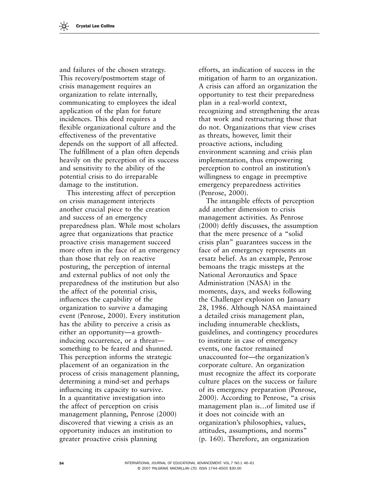and failures of the chosen strategy. This recovery/postmortem stage of crisis management requires an organization to relate internally, communicating to employees the ideal application of the plan for future incidences. This deed requires a flexible organizational culture and the effectiveness of the preventative depends on the support of all affected. The fulfillment of a plan often depends heavily on the perception of its success and sensitivity to the ability of the potential crisis to do irreparable damage to the institution.

This interesting affect of perception on crisis management interjects another crucial piece to the creation and success of an emergency preparedness plan. While most scholars agree that organizations that practice proactive crisis management succeed more often in the face of an emergency than those that rely on reactive posturing, the perception of internal and external publics of not only the preparedness of the institution but also the affect of the potential crisis, influences the capability of the organization to survive a damaging event (Penrose, 2000). Every institution has the ability to perceive a crisis as either an opportunity—a growthinducing occurrence, or a threat something to be feared and shunned. This perception informs the strategic placement of an organization in the process of crisis management planning, determining a mind-set and perhaps influencing its capacity to survive. In a quantitative investigation into the affect of perception on crisis management planning, Penrose (2000) discovered that viewing a crisis as an opportunity induces an institution to greater proactive crisis planning

efforts, an indication of success in the mitigation of harm to an organization. A crisis can afford an organization the opportunity to test their preparedness plan in a real-world context, recognizing and strengthening the areas that work and restructuring those that do not. Organizations that view crises as threats, however, limit their proactive actions, including environment scanning and crisis plan implementation, thus empowering perception to control an institution's willingness to engage in preemptive emergency preparedness activities (Penrose, 2000).

The intangible effects of perception add another dimension to crisis management activities. As Penrose  $(2000)$  deftly discusses, the assumption that the mere presence of a " solid crisis plan" guarantees success in the face of an emergency represents an ersatz belief. As an example, Penrose bemoans the tragic missteps at the National Aeronautics and Space Administration (NASA) in the moments, days, and weeks following the Challenger explosion on January 28, 1986. Although NASA maintained a detailed crisis management plan, including innumerable checklists, guidelines, and contingency procedures to institute in case of emergency events, one factor remained unaccounted for-the organization's corporate culture. An organization must recognize the affect its corporate culture places on the success or failure of its emergency preparation (Penrose, 2000). According to Penrose, "a crisis management plan is... of limited use if it does not coincide with an organization's philosophies, values, attitudes, assumptions, and norms " (p. 160). Therefore, an organization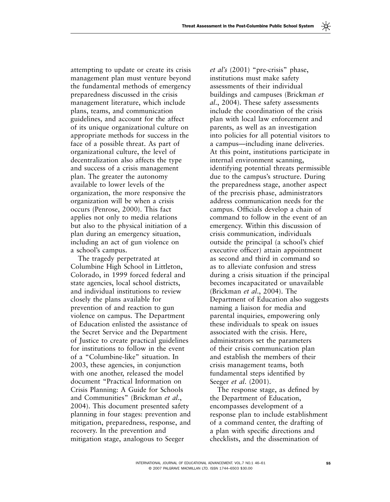attempting to update or create its crisis management plan must venture beyond the fundamental methods of emergency preparedness discussed in the crisis management literature, which include plans, teams, and communication guidelines, and account for the affect of its unique organizational culture on appropriate methods for success in the face of a possible threat. As part of organizational culture, the level of decentralization also affects the type and success of a crisis management plan. The greater the autonomy available to lower levels of the organization, the more responsive the organization will be when a crisis occurs (Penrose, 2000). This fact applies not only to media relations but also to the physical initiation of a plan during an emergency situation, including an act of gun violence on a school's campus.

The tragedy perpetrated at Columbine High School in Littleton, Colorado, in 1999 forced federal and state agencies, local school districts, and individual institutions to review closely the plans available for prevention of and reaction to gun violence on campus. The Department of Education enlisted the assistance of the Secret Service and the Department of Justice to create practical guidelines for institutions to follow in the event of a "Columbine-like" situation. In 2003, these agencies, in conjunction with one another, released the model document "Practical Information on Crisis Planning: A Guide for Schools and Communities" (Brickman et al., 2004). This document presented safety planning in four stages: prevention and mitigation, preparedness, response, and recovery. In the prevention and mitigation stage, analogous to Seeger

*et al's* (2001) "pre-crisis" phase, institutions must make safety assessments of their individual buildings and campuses ( Brickman *et al.*, 2004). These safety assessments include the coordination of the crisis plan with local law enforcement and parents, as well as an investigation into policies for all potential visitors to a campus—including inane deliveries. At this point, institutions participate in internal environment scanning, identifying potential threats permissible due to the campus's structure. During the preparedness stage, another aspect of the precrisis phase, administrators address communication needs for the campus. Officials develop a chain of command to follow in the event of an emergency. Within this discussion of crisis communication, individuals outside the principal (a school's chief executive officer) attain appointment as second and third in command so as to alleviate confusion and stress during a crisis situation if the principal becomes incapacitated or unavailable (Brickman *et al.*, 2004). The Department of Education also suggests naming a liaison for media and parental inquiries, empowering only these individuals to speak on issues associated with the crisis. Here, administrators set the parameters of their crisis communication plan and establish the members of their crisis management teams, both fundamental steps identified by Seeger *et al.* (2001).

The response stage, as defined by the Department of Education, encompasses development of a response plan to include establishment of a command center, the drafting of a plan with specific directions and checklists, and the dissemination of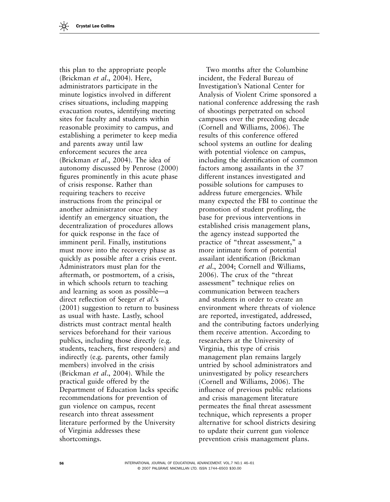this plan to the appropriate people ( Brickman *et al*., 2004 ). Here, administrators participate in the minute logistics involved in different crises situations, including mapping evacuation routes, identifying meeting sites for faculty and students within reasonable proximity to campus, and establishing a perimeter to keep media and parents away until law enforcement secures the area ( Brickman *et al*., 2004 ). The idea of autonomy discussed by Penrose (2000) figures prominently in this acute phase of crisis response. Rather than requiring teachers to receive instructions from the principal or another administrator once they identify an emergency situation, the decentralization of procedures allows for quick response in the face of imminent peril. Finally, institutions must move into the recovery phase as quickly as possible after a crisis event. Administrators must plan for the aftermath, or postmortem, of a crisis, in which schools return to teaching and learning as soon as possible — a direct reflection of Seeger *et al*.'s  $(2001)$  suggestion to return to business as usual with haste. Lastly, school districts must contract mental health services beforehand for their various publics, including those directly (e.g. students, teachers, first responders) and indirectly (e.g. parents, other family members) involved in the crisis ( Brickman *et al*., 2004 ). While the practical guide offered by the Department of Education lacks specific recommendations for prevention of gun violence on campus, recent research into threat assessment literature performed by the University of Virginia addresses these shortcomings.

Two months after the Columbine incident, the Federal Bureau of Investigation's National Center for Analysis of Violent Crime sponsored a national conference addressing the rash of shootings perpetrated on school campuses over the preceding decade (Cornell and Williams, 2006). The results of this conference offered school systems an outline for dealing with potential violence on campus, including the identification of common factors among assailants in the 37 different instances investigated and possible solutions for campuses to address future emergencies. While many expected the FBI to continue the promotion of student profiling, the base for previous interventions in established crisis management plans, the agency instead supported the practice of "threat assessment," a more intimate form of potential assailant identification (Brickman *et al.*, 2004; Cornell and Williams, 2006). The crux of the "threat" assessment" technique relies on communication between teachers and students in order to create an environment where threats of violence are reported, investigated, addressed, and the contributing factors underlying them receive attention. According to researchers at the University of Virginia, this type of crisis management plan remains largely untried by school administrators and uninvestigated by policy researchers (Cornell and Williams, 2006). The influence of previous public relations and crisis management literature permeates the final threat assessment technique, which represents a proper alternative for school districts desiring to update their current gun violence prevention crisis management plans.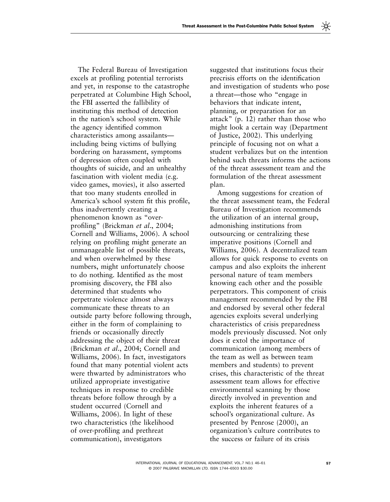The Federal Bureau of Investigation excels at profiling potential terrorists and yet, in response to the catastrophe perpetrated at Columbine High School, the FBI asserted the fallibility of instituting this method of detection in the nation's school system. While the agency identified common characteristics among assailants including being victims of bullying bordering on harassment, symptoms of depression often coupled with thoughts of suicide, and an unhealthy fascination with violent media (e.g. video games, movies), it also asserted that too many students enrolled in America's school system fit this profile, thus inadvertently creating a phenomenon known as " overprofiling" (Brickman *et al.*, 2004; Cornell and Williams, 2006). A school relying on profiling might generate an unmanageable list of possible threats, and when overwhelmed by these numbers, might unfortunately choose to do nothing. Identified as the most promising discovery, the FBI also determined that students who perpetrate violence almost always communicate these threats to an outside party before following through, either in the form of complaining to friends or occasionally directly addressing the object of their threat (Brickman et al., 2004; Cornell and Williams, 2006). In fact, investigators found that many potential violent acts were thwarted by administrators who utilized appropriate investigative techniques in response to credible threats before follow through by a student occurred (Cornell and Williams, 2006). In light of these two characteristics (the likelihood of over-profiling and prethreat communication), investigators

suggested that institutions focus their precrisis efforts on the identification and investigation of students who pose a threat—those who "engage in behaviors that indicate intent, planning, or preparation for an attack"  $(p. 12)$  rather than those who might look a certain way (Department of Justice, 2002). This underlying principle of focusing not on what a student verbalizes but on the intention behind such threats informs the actions of the threat assessment team and the formulation of the threat assessment plan.

Among suggestions for creation of the threat assessment team, the Federal Bureau of Investigation recommends the utilization of an internal group, admonishing institutions from outsourcing or centralizing these imperative positions (Cornell and Williams, 2006). A decentralized team allows for quick response to events on campus and also exploits the inherent personal nature of team members knowing each other and the possible perpetrators. This component of crisis management recommended by the FBI and endorsed by several other federal agencies exploits several underlying characteristics of crisis preparedness models previously discussed. Not only does it extol the importance of communication (among members of the team as well as between team members and students) to prevent crises, this characteristic of the threat assessment team allows for effective environmental scanning by those directly involved in prevention and exploits the inherent features of a school's organizational culture. As presented by Penrose (2000), an organization's culture contributes to the success or failure of its crisis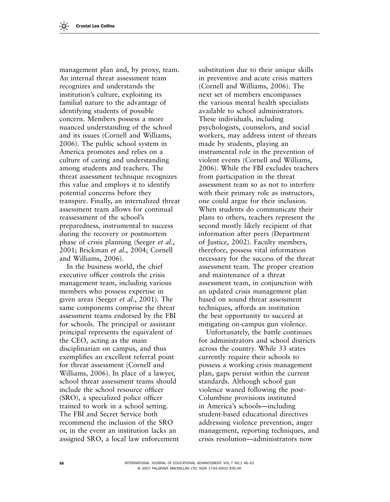management plan and, by proxy, team. An internal threat assessment team recognizes and understands the institution's culture, exploiting its familial nature to the advantage of identifying students of possible concern. Members possess a more nuanced understanding of the school and its issues (Cornell and Williams, 2006). The public school system in America promotes and relies on a culture of caring and understanding among students and teachers. The threat assessment technique recognizes this value and employs it to identify potential concerns before they transpire. Finally, an internalized threat assessment team allows for continual reassessment of the school's preparedness, instrumental to success during the recovery or postmortem phase of crisis planning ( Seeger *et al*., 2001; Brickman et al., 2004; Cornell and Williams, 2006).

In the business world, the chief executive officer controls the crisis management team, including various members who possess expertise in given areas ( Seeger *et al*., 2001 ). The same components comprise the threat assessment teams endorsed by the FBI for schools. The principal or assistant principal represents the equivalent of the CEO, acting as the main disciplinarian on campus, and thus exemplifies an excellent referral point for threat assessment (Cornell and Williams, 2006). In place of a lawyer, school threat assessment teams should include the school resource officer  $(SRO)$ , a specialized police officer trained to work in a school setting. The FBI and Secret Service both recommend the inclusion of the SRO or, in the event an institution lacks an assigned SRO, a local law enforcement substitution due to their unique skills in preventive and acute crisis matters (Cornell and Williams, 2006). The next set of members encompasses the various mental health specialists available to school administrators. These individuals, including psychologists, counselors, and social workers, may address intent of threats made by students, playing an instrumental role in the prevention of violent events (Cornell and Williams, 2006). While the FBI excludes teachers from participation in the threat assessment team so as not to interfere with their primary role as instructors, one could argue for their inclusion. When students do communicate their plans to others, teachers represent the second mostly likely recipient of that information after peers (Department of Justice, 2002 ). Faculty members, therefore, possess vital information necessary for the success of the threat assessment team. The proper creation and maintenance of a threat assessment team, in conjunction with an updated crisis management plan based on sound threat assessment techniques, affords an institution the best opportunity to succeed at mitigating on-campus gun violence.

Unfortunately, the battle continues for administrators and school districts across the country. While 33 states currently require their schools to possess a working crisis management plan, gaps persist within the current standards. Although school gun violence waned following the post-Columbine provisions instituted in America's schools—including student-based educational directives addressing violence prevention, anger management, reporting techniques, and crisis resolution — administrators now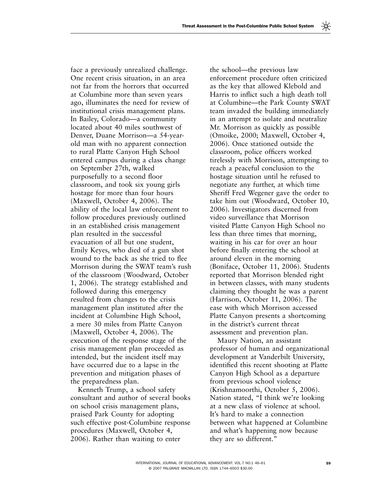face a previously unrealized challenge. One recent crisis situation, in an area not far from the horrors that occurred at Columbine more than seven years ago, illuminates the need for review of institutional crisis management plans. In Bailey, Colorado—a community located about 40 miles southwest of Denver, Duane Morrison—a 54-yearold man with no apparent connection to rural Platte Canyon High School entered campus during a class change on September 27th, walked purposefully to a second floor classroom, and took six young girls hostage for more than four hours (Maxwell, October 4, 2006). The ability of the local law enforcement to follow procedures previously outlined in an established crisis management plan resulted in the successful evacuation of all but one student, Emily Keyes, who died of a gun shot wound to the back as she tried to flee Morrison during the SWAT team's rush of the classroom ( Woodward, October 1, 2006). The strategy established and followed during this emergency resulted from changes to the crisis management plan instituted after the incident at Columbine High School, a mere 30 miles from Platte Canyon (Maxwell, October 4, 2006). The execution of the response stage of the crisis management plan proceeded as intended, but the incident itself may have occurred due to a lapse in the prevention and mitigation phases of the preparedness plan.

Kenneth Trump, a school safety consultant and author of several books on school crisis management plans, praised Park County for adopting such effective post-Columbine response procedures (Maxwell, October 4, 2006). Rather than waiting to enter

the school—the previous law enforcement procedure often criticized as the key that allowed Klebold and Harris to inflict such a high death toll at Columbine—the Park County SWAT team invaded the building immediately in an attempt to isolate and neutralize Mr. Morrison as quickly as possible (Omoike, 2000; Maxwell, October 4, 2006). Once stationed outside the classroom, police officers worked tirelessly with Morrison, attempting to reach a peaceful conclusion to the hostage situation until he refused to negotiate any further, at which time Sheriff Fred Wegener gave the order to take him out (Woodward, October 10, 2006). Investigators discerned from video surveillance that Morrison visited Platte Canyon High School no less than three times that morning, waiting in his car for over an hour before finally entering the school at around eleven in the morning (Boniface, October 11, 2006). Students reported that Morrison blended right in between classes, with many students claiming they thought he was a parent (Harrison, October 11, 2006). The ease with which Morrison accessed Platte Canyon presents a shortcoming in the district's current threat assessment and prevention plan.

Maury Nation, an assistant professor of human and organizational development at Vanderbilt University, identified this recent shooting at Platte Canyon High School as a departure from previous school violence (Krishnamoorthi, October 5, 2006). Nation stated, "I think we're looking at a new class of violence at school. It's hard to make a connection between what happened at Columbine and what's happening now because they are so different. "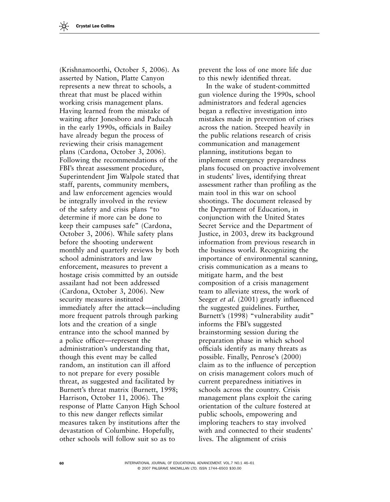( Krishnamoorthi, October 5, 2006 ). As asserted by Nation, Platte Canyon represents a new threat to schools, a threat that must be placed within working crisis management plans. Having learned from the mistake of waiting after Jonesboro and Paducah in the early 1990s, officials in Bailey have already begun the process of reviewing their crisis management plans (Cardona, October 3, 2006). Following the recommendations of the FBI's threat assessment procedure, Superintendent Jim Walpole stated that staff, parents, community members, and law enforcement agencies would be integrally involved in the review of the safety and crisis plans " to determine if more can be done to keep their campuses safe" (Cardona, October 3, 2006). While safety plans before the shooting underwent monthly and quarterly reviews by both school administrators and law enforcement, measures to prevent a hostage crisis committed by an outside assailant had not been addressed (Cardona, October 3, 2006). New security measures instituted immediately after the attack — including more frequent patrols through parking lots and the creation of a single entrance into the school manned by a police officer—represent the administration's understanding that, though this event may be called random, an institution can ill afford to not prepare for every possible threat, as suggested and facilitated by Burnett's threat matrix (Burnett, 1998; Harrison, October 11, 2006). The response of Platte Canyon High School to this new danger reflects similar measures taken by institutions after the devastation of Columbine. Hopefully, other schools will follow suit so as to

prevent the loss of one more life due to this newly identified threat.

In the wake of student-committed gun violence during the 1990s, school administrators and federal agencies began a reflective investigation into mistakes made in prevention of crises across the nation. Steeped heavily in the public relations research of crisis communication and management planning, institutions began to implement emergency preparedness plans focused on proactive involvement in students' lives, identifying threat assessment rather than profiling as the main tool in this war on school shootings. The document released by the Department of Education, in conjunction with the United States Secret Service and the Department of Justice, in 2003, drew its background information from previous research in the business world. Recognizing the importance of environmental scanning, crisis communication as a means to mitigate harm, and the best composition of a crisis management team to alleviate stress, the work of Seeger *et al.* (2001) greatly influenced the suggested guidelines. Further, Burnett's (1998) " vulnerability audit" informs the FBI's suggested brainstorming session during the preparation phase in which school officials identify as many threats as possible. Finally, Penrose's (2000) claim as to the influence of perception on crisis management colors much of current preparedness initiatives in schools across the country. Crisis management plans exploit the caring orientation of the culture fostered at public schools, empowering and imploring teachers to stay involved with and connected to their students' lives. The alignment of crisis